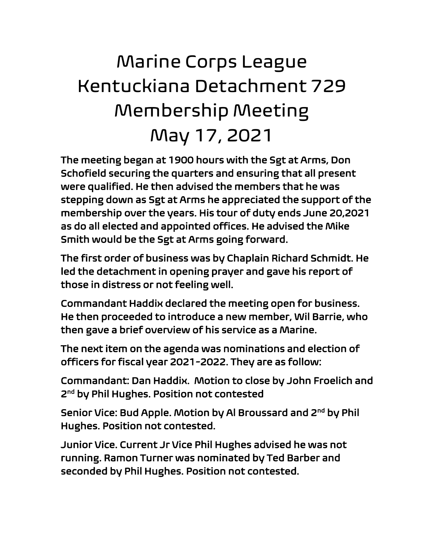## Marine Corps League Kentuckiana Detachment 729 Membership Meeting May 17, 2021

The meeting began at 1900 hours with the Sgt at Arms, Don Schofield securing the quarters and ensuring that all present were qualified. He then advised the members that he was stepping down as Sgt at Arms he appreciated the support of the membership over the years. His tour of duty ends June 20,2021 as do all elected and appointed offices. He advised the Mike Smith would be the Sgt at Arms going forward.

The first order of business was by Chaplain Richard Schmidt. He led the detachment in opening prayer and gave his report of those in distress or not feeling well.

Commandant Haddix declared the meeting open for business. He then proceeded to introduce a new member, Wil Barrie, who then gave a brief overview of his service as a Marine.

The next item on the agenda was nominations and election of officers for fiscal year 2021-2022. They are as follow:

Commandant: Dan Haddix. Motion to close by John Froelich and 2<sup>nd</sup> by Phil Hughes. Position not contested

Senior Vice: Bud Apple. Motion by Al Broussard and 2<sup>nd</sup> by Phil Hughes. Position not contested.

Junior Vice. Current Jr Vice Phil Hughes advised he was not running. Ramon Turner was nominated by Ted Barber and seconded by Phil Hughes. Position not contested.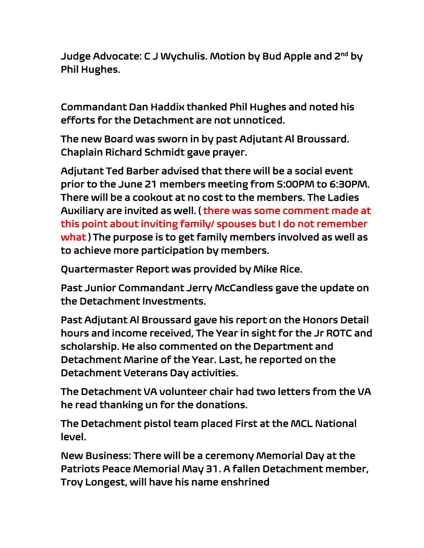Judge Advocate: C J Wychulis. Motion by Bud Apple and 2<sup>nd</sup> by Phil Hughes.

Commandant Dan Haddix thanked Phil Hughes and noted his efforts for the Detachment are not unnoticed.

The new Board was sworn in by past Adjutant Al Broussard. Chaplain Richard Schmidt gave prayer.

Adjutant Ted Barber advised that there will be a social event prior to the June 21 members meeting from 5:00PM to 6:30PM. There will be a cookout at no cost to the members. The Ladies Auxiliary are invited as well. ( there was some comment made at this point about inviting family/ spouses but I do not remember what ) The purpose is to get family members involved as well as to achieve more participation by members.

Quartermaster Report was provided by Mike Rice.

Past Junior Commandant Jerry McCandless gave the update on the Detachment Investments.

Past Adjutant Al Broussard gave his report on the Honors Detail hours and income received, The Year in sight for the Jr ROTC and scholarship. He also commented on the Department and Detachment Marine of the Year. Last, he reported on the Detachment Veterans Day activities.

The Detachment VA volunteer chair had two letters from the VA he read thanking un for the donations.

The Detachment pistol team placed First at the MCL National level.

New Business: There will be a ceremony Memorial Day at the Patriots Peace Memorial May 31. A fallen Detachment member, Troy Longest, will have his name enshrined